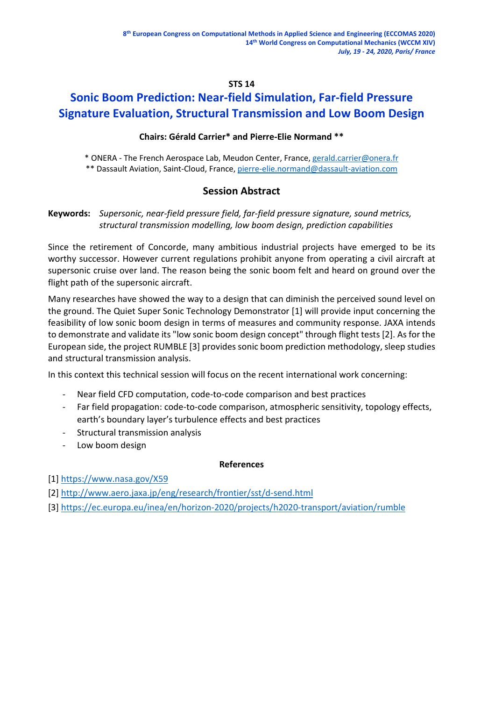## **STS 14**

# **Sonic Boom Prediction: Near-field Simulation, Far-field Pressure Signature Evaluation, Structural Transmission and Low Boom Design**

## **Chairs: Gérald Carrier\* and Pierre-Elie Normand \*\***

\* ONERA - The French Aerospace Lab, Meudon Center, France, [gerald.carrier@onera.fr](mailto:gerald.carrier@onera.fr) \*\* Dassault Aviation, Saint-Cloud, France, [pierre-elie.normand@dassault-aviation.com](mailto:pierre-elie.normand@dassault-aviation.com)

# **Session Abstract**

# **Keywords:** *Supersonic, near-field pressure field, far-field pressure signature, sound metrics, structural transmission modelling, low boom design, prediction capabilities*

Since the retirement of Concorde, many ambitious industrial projects have emerged to be its worthy successor. However current regulations prohibit anyone from operating a civil aircraft at supersonic cruise over land. The reason being the sonic boom felt and heard on ground over the flight path of the supersonic aircraft.

Many researches have showed the way to a design that can diminish the perceived sound level on the ground. The Quiet Super Sonic Technology Demonstrator [1] will provide input concerning the feasibility of low sonic boom design in terms of measures and community response. JAXA intends to demonstrate and validate its "low sonic boom design concept" through flight tests [2]. As for the European side, the project RUMBLE [3] provides sonic boom prediction methodology, sleep studies and structural transmission analysis.

In this context this technical session will focus on the recent international work concerning:

- Near field CFD computation, code-to-code comparison and best practices
- Far field propagation: code-to-code comparison, atmospheric sensitivity, topology effects, earth's boundary layer's turbulence effects and best practices
- Structural transmission analysis
- Low boom design

## **References**

[1]<https://www.nasa.gov/X59>

[2]<http://www.aero.jaxa.jp/eng/research/frontier/sst/d-send.html>

[3]<https://ec.europa.eu/inea/en/horizon-2020/projects/h2020-transport/aviation/rumble>